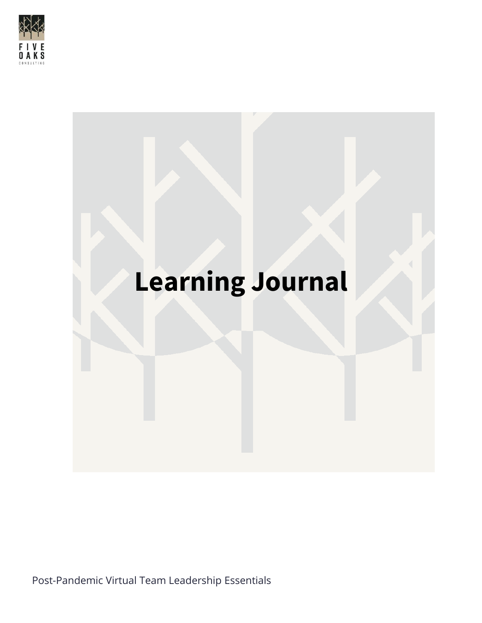



Post-Pandemic Virtual Team Leadership Essentials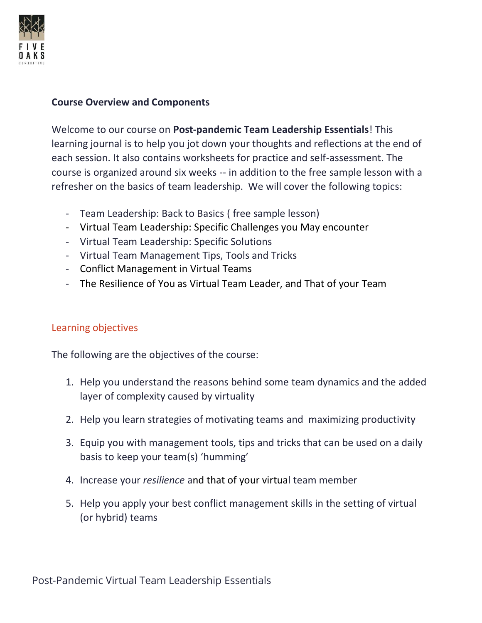

#### **Course Overview and Components**

Welcome to our course on **Post-pandemic Team Leadership Essentials**! This learning journal is to help you jot down your thoughts and reflections at the end of each session. It also contains worksheets for practice and self-assessment. The course is organized around six weeks -- in addition to the free sample lesson with a refresher on the basics of team leadership. We will cover the following topics:

- Team Leadership: Back to Basics ( free sample lesson)
- Virtual Team Leadership: Specific Challenges you May encounter
- Virtual Team Leadership: Specific Solutions
- Virtual Team Management Tips, Tools and Tricks
- Conflict Management in Virtual Teams
- The Resilience of You as Virtual Team Leader, and That of your Team

#### Learning objectives

The following are the objectives of the course:

- 1. Help you understand the reasons behind some team dynamics and the added layer of complexity caused by virtuality
- 2. Help you learn strategies of motivating teams and maximizing productivity
- 3. Equip you with management tools, tips and tricks that can be used on a daily basis to keep your team(s) 'humming'
- 4. Increase your *resilience* and that of your virtual team member
- 5. Help you apply your best conflict management skills in the setting of virtual (or hybrid) teams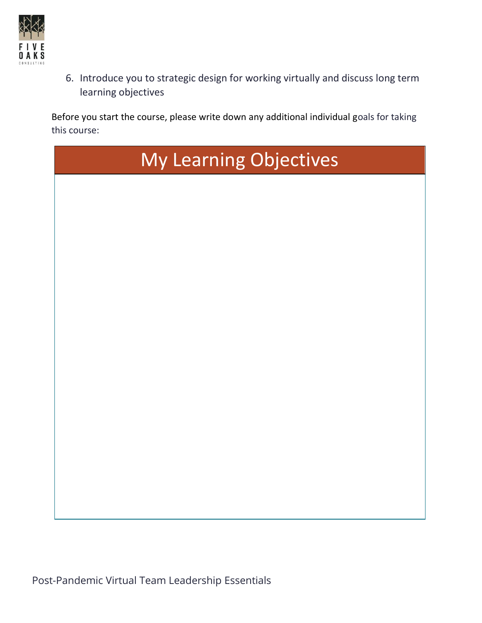

6. Introduce you to strategic design for working virtually and discuss long term learning objectives

Before you start the course, please write down any additional individual goals for taking this course:

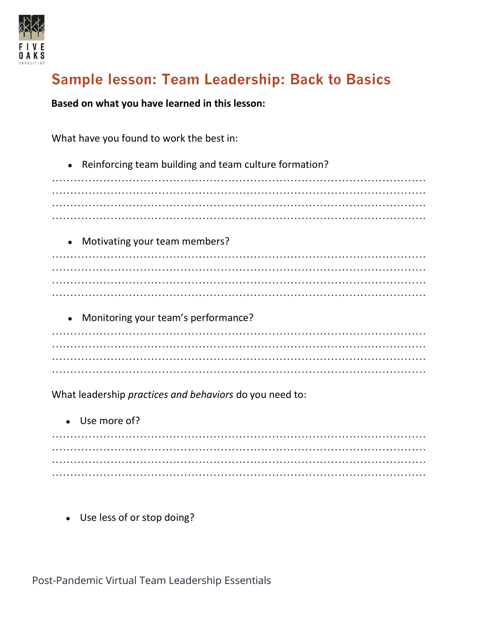

## **Sample lesson: Team Leadership: Back to Basics**

#### **Based on what you have learned in this lesson:**

What have you found to work the best in:

• Reinforcing team building and team culture formation?

………………………………………………………………………………………… ………………………………………………………………………………………… ………………………………………………………………………………………… …………………………………………………………………………………………

• Motivating your team members?

………………………………………………………………………………………… ………………………………………………………………………………………… ………………………………………………………………………………………… …………………………………………………………………………………………

• Monitoring your team's performance?

………………………………………………………………………………………… ………………………………………………………………………………………… ………………………………………………………………………………………… …………………………………………………………………………………………

What leadership *practices and behaviors* do you need to:

● Use more of?

………………………………………………………………………………………… ………………………………………………………………………………………… ………………………………………………………………………………………… …………………………………………………………………………………………

● Use less of or stop doing?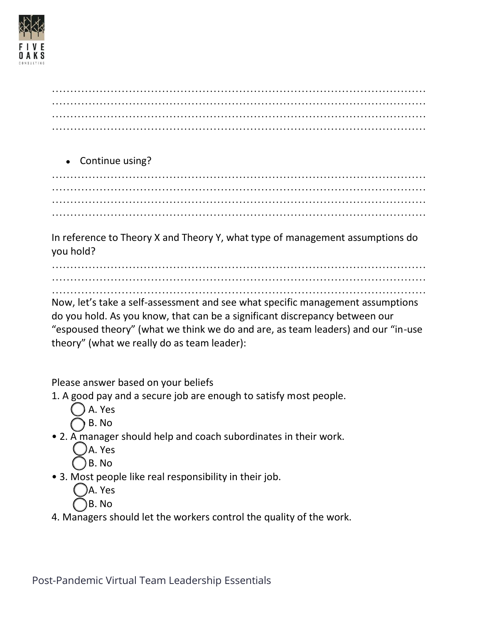

• Continue using?

………………………………………………………………………………………… ………………………………………………………………………………………… …………………………………………………………………………………………

In reference to Theory X and Theory Y, what type of management assumptions do you hold?

………………………………………………………………………………………… …………………………………………………………………………………………

…………………………………………………………………………………………

Now, let's take a self-assessment and see what specific management assumptions do you hold. As you know, that can be a significant discrepancy between our "espoused theory" (what we think we do and are, as team leaders) and our "in-use theory" (what we really do as team leader):

Please answer based on your beliefs

- 1. A good pay and a secure job are enough to satisfy most people.
	- o A. Yes
	- o B. No
- 2. A manager should help and coach subordinates in their work. )A. Yes
	-
	- B. No
- 3. Most people like real responsibility in their job.
	- DA. Yes
	- B. No
- 4. Managers should let the workers control the quality of the work.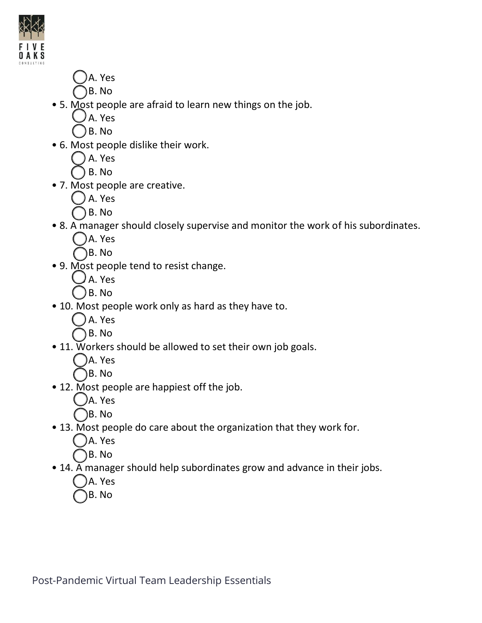

- A. Yes
	- o B. No
- 5. Most people are afraid to learn new things on the job.
	- A. Yes
	- o B. No
- 6. Most people dislike their work.
	- $\bigcap$  A. Yes
		- o B. No
- 7. Most people are creative.
	- $\bigcirc$  A. Yes
		- o B. No
- 8. A manager should closely supervise and monitor the work of his subordinates.
	- $\bigcap$  A. Yes
		- o B. No
- 9. Most people tend to resist change.
	- $\bigcup$  A. Yes
	- $\bigcap$  B. No
- 10. Most people work only as hard as they have to.
	- $\bigcirc$  A. Yes
	- $\bigcap B.$  No
- 11. Workers should be allowed to set their own job goals.
	- $\bigcap A$ . Yes
	- $\bigcap B.$  No
- 12. Most people are happiest off the job.
	- ( )A. Yes
	- $\bigcap B.$  No
- 13. Most people do care about the organization that they work for.
	- $\bigcirc$  A. Yes
	- $\bigcap B.$  No
- 14. A manager should help subordinates grow and advance in their jobs.
	- A. Yes
	- B. No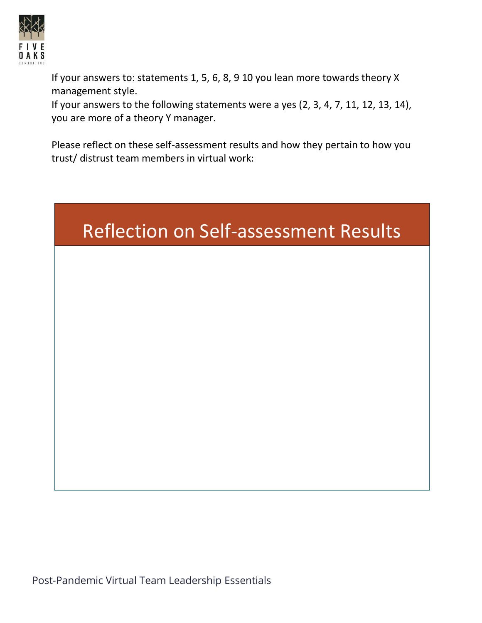

If your answers to: statements 1, 5, 6, 8, 9 10 you lean more towards theory X management style.

If your answers to the following statements were a yes (2, 3, 4, 7, 11, 12, 13, 14), you are more of a theory Y manager.

Please reflect on these self-assessment results and how they pertain to how you trust/ distrust team members in virtual work:

# Reflection on Self-assessment Results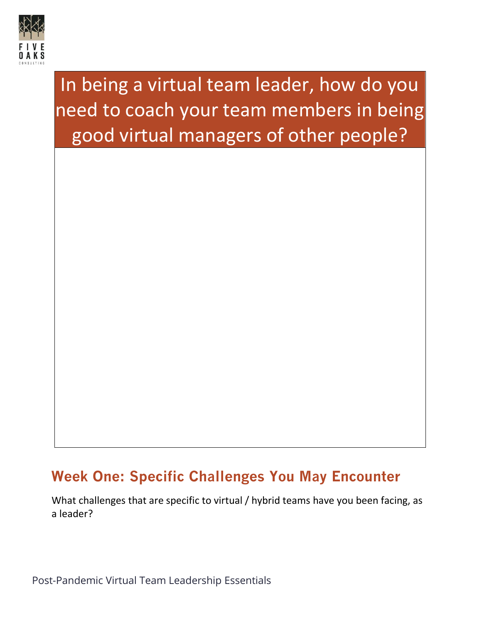

In being a virtual team leader, how do you need to coach your team members in being good virtual managers of other people?

### **Week One: Specific Challenges You May Encounter**

What challenges that are specific to virtual / hybrid teams have you been facing, as a leader?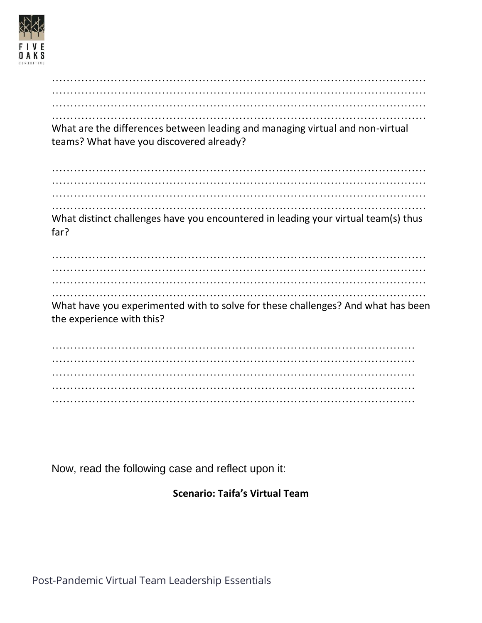

|                                          | What are the differences between leading and managing virtual and non-virtual |
|------------------------------------------|-------------------------------------------------------------------------------|
| teams? What have you discovered already? |                                                                               |

………………………………………………………………………………………… ………………………………………………………………………………………… ………………………………………………………………………………………… What distinct challenges have you encountered in leading your virtual team(s) thus far?

………………………………………………………………………………………… ………………………………………………………………………………………… …………………………………………………………………………………………

What have you experimented with to solve for these challenges? And what has been the experience with this?

……………………………………………………………………………………… ……………………………………………………………………………………… ……………………………………………………………………………………… ……………………………………………………………………………………… ………………………………………………………………………………………

Now, read the following case and reflect upon it:

**Scenario: Taifa's Virtual Team**

Post-Pandemic Virtual Team Leadership Essentials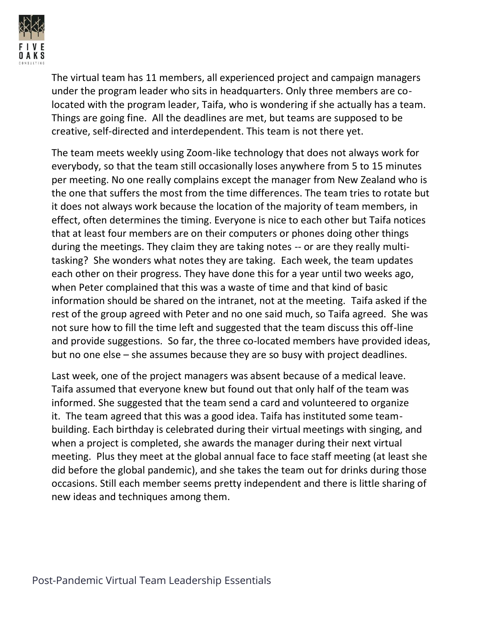

The virtual team has 11 members, all experienced project and campaign managers under the program leader who sits in headquarters. Only three members are colocated with the program leader, Taifa, who is wondering if she actually has a team. Things are going fine. All the deadlines are met, but teams are supposed to be creative, self-directed and interdependent. This team is not there yet.

The team meets weekly using Zoom-like technology that does not always work for everybody, so that the team still occasionally loses anywhere from 5 to 15 minutes per meeting. No one really complains except the manager from New Zealand who is the one that suffers the most from the time differences. The team tries to rotate but it does not always work because the location of the majority of team members, in effect, often determines the timing. Everyone is nice to each other but Taifa notices that at least four members are on their computers or phones doing other things during the meetings. They claim they are taking notes -- or are they really multitasking? She wonders what notes they are taking. Each week, the team updates each other on their progress. They have done this for a year until two weeks ago, when Peter complained that this was a waste of time and that kind of basic information should be shared on the intranet, not at the meeting. Taifa asked if the rest of the group agreed with Peter and no one said much, so Taifa agreed. She was not sure how to fill the time left and suggested that the team discuss this off-line and provide suggestions. So far, the three co-located members have provided ideas, but no one else – she assumes because they are so busy with project deadlines.

Last week, one of the project managers was absent because of a medical leave. Taifa assumed that everyone knew but found out that only half of the team was informed. She suggested that the team send a card and volunteered to organize it. The team agreed that this was a good idea. Taifa has instituted some teambuilding. Each birthday is celebrated during their virtual meetings with singing, and when a project is completed, she awards the manager during their next virtual meeting. Plus they meet at the global annual face to face staff meeting (at least she did before the global pandemic), and she takes the team out for drinks during those occasions. Still each member seems pretty independent and there is little sharing of new ideas and techniques among them.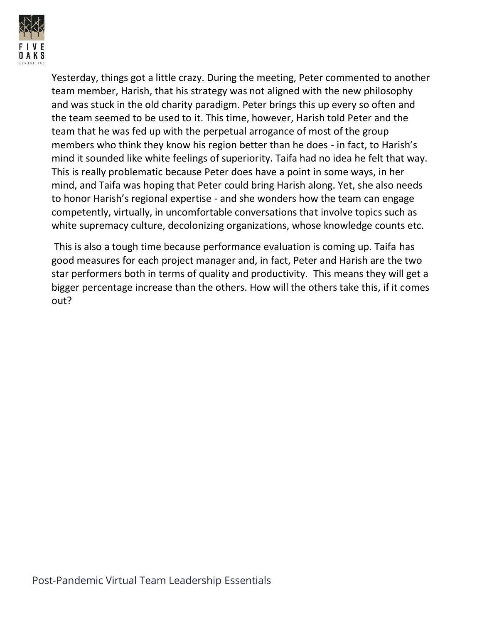

Yesterday, things got a little crazy. During the meeting, Peter commented to another team member, Harish, that his strategy was not aligned with the new philosophy and was stuck in the old charity paradigm. Peter brings this up every so often and the team seemed to be used to it. This time, however, Harish told Peter and the team that he was fed up with the perpetual arrogance of most of the group members who think they know his region better than he does - in fact, to Harish's mind it sounded like white feelings of superiority. Taifa had no idea he felt that way. This is really problematic because Peter does have a point in some ways, in her mind, and Taifa was hoping that Peter could bring Harish along. Yet, she also needs to honor Harish's regional expertise - and she wonders how the team can engage competently, virtually, in uncomfortable conversations that involve topics such as white supremacy culture, decolonizing organizations, whose knowledge counts etc.

This is also a tough time because performance evaluation is coming up. Taifa has good measures for each project manager and, in fact, Peter and Harish are the two star performers both in terms of quality and productivity. This means they will get a bigger percentage increase than the others. How will the others take this, if it comes out?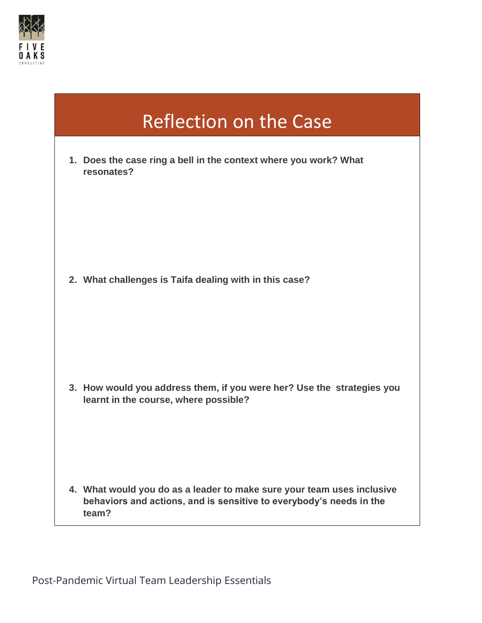

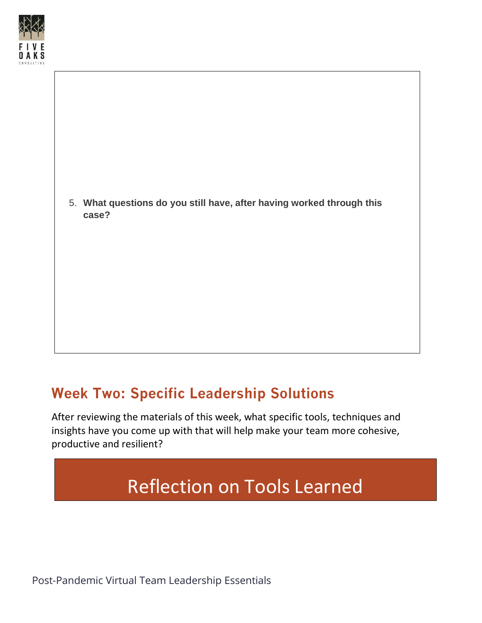

## **Week Two: Specific Leadership Solutions**

After reviewing the materials of this week, what specific tools, techniques and insights have you come up with that will help make your team more cohesive, productive and resilient?

## Reflection on Tools Learned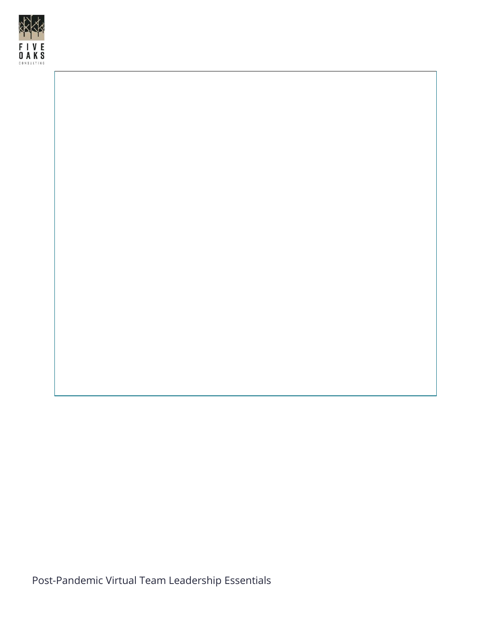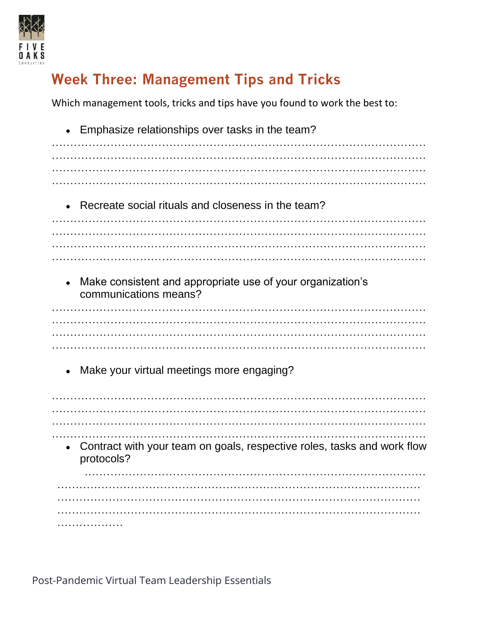

## **Week Three: Management Tips and Tricks**

Which management tools, tricks and tips have you found to work the best to:

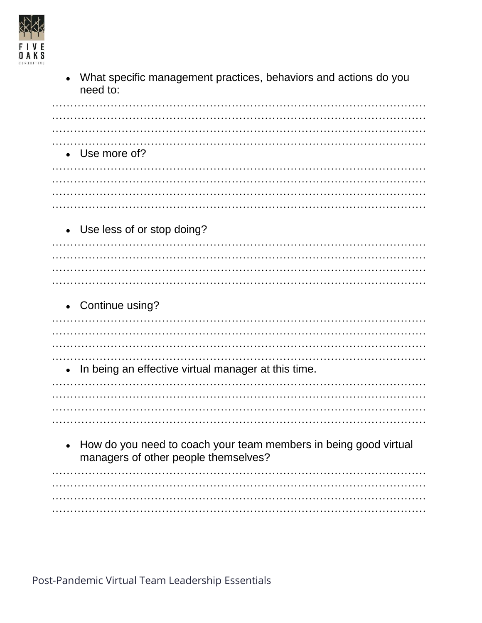

• What specific management practices, behaviors and actions do you need to: . . . . . . . . . . . . . . • Use more of? • Use less of or stop doing? • Continue using? • In being an effective virtual manager at this time. • How do you need to coach your team members in being good virtual managers of other people themselves?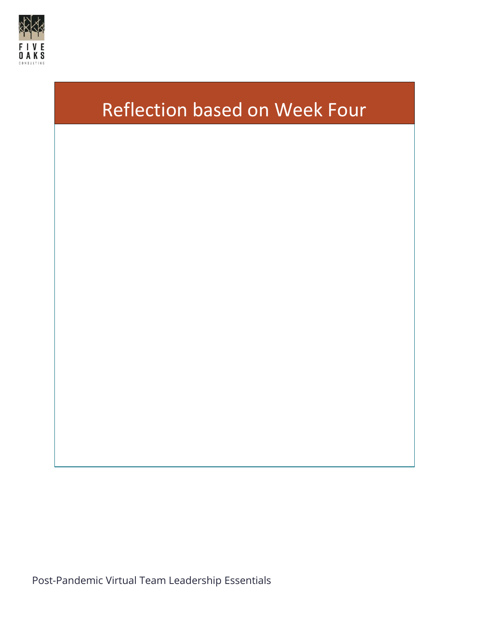

## Reflection based on Week Four

Post-Pandemic Virtual Team Leadership Essentials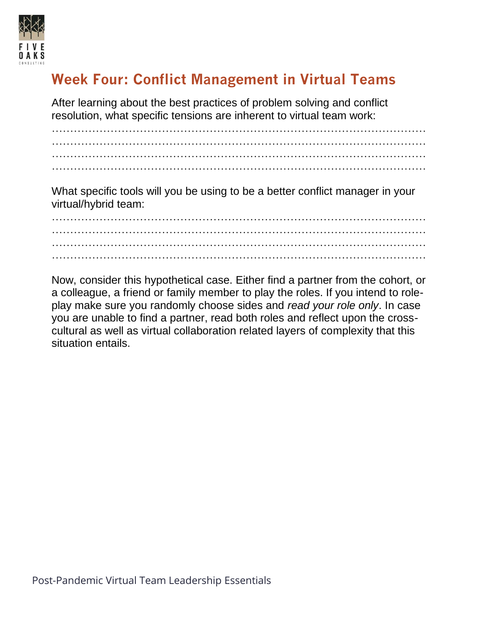

## **Week Four: Conflict Management in Virtual Teams**

After learning about the best practices of problem solving and conflict resolution, what specific tensions are inherent to virtual team work:

………………………………………………………………………………………… ………………………………………………………………………………………… …………………………………………………………………………………………

What specific tools will you be using to be a better conflict manager in your virtual/hybrid team:

………………………………………………………………………………………… ………………………………………………………………………………………… ………………………………………………………………………………………… …………………………………………………………………………………………

Now, consider this hypothetical case. Either find a partner from the cohort, or a colleague, a friend or family member to play the roles. If you intend to roleplay make sure you randomly choose sides and *read your role only*. In case you are unable to find a partner, read both roles and reflect upon the crosscultural as well as virtual collaboration related layers of complexity that this situation entails.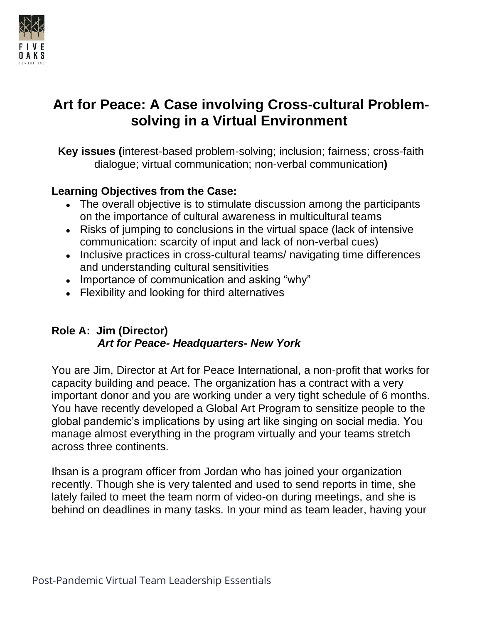

### **Art for Peace: A Case involving Cross-cultural Problemsolving in a Virtual Environment**

**Key issues (**interest-based problem-solving; inclusion; fairness; cross-faith dialogue; virtual communication; non-verbal communication**)**

#### **Learning Objectives from the Case:**

- The overall objective is to stimulate discussion among the participants on the importance of cultural awareness in multicultural teams
- Risks of jumping to conclusions in the virtual space (lack of intensive communication: scarcity of input and lack of non-verbal cues)
- Inclusive practices in cross-cultural teams/ navigating time differences and understanding cultural sensitivities
- Importance of communication and asking "why"
- Flexibility and looking for third alternatives

#### **Role A: Jim (Director)**  *Art for Peace- Headquarters- New York*

You are Jim, Director at Art for Peace International, a non-profit that works for capacity building and peace. The organization has a contract with a very important donor and you are working under a very tight schedule of 6 months. You have recently developed a Global Art Program to sensitize people to the global pandemic's implications by using art like singing on social media. You manage almost everything in the program virtually and your teams stretch across three continents.

Ihsan is a program officer from Jordan who has joined your organization recently. Though she is very talented and used to send reports in time, she lately failed to meet the team norm of video-on during meetings, and she is behind on deadlines in many tasks. In your mind as team leader, having your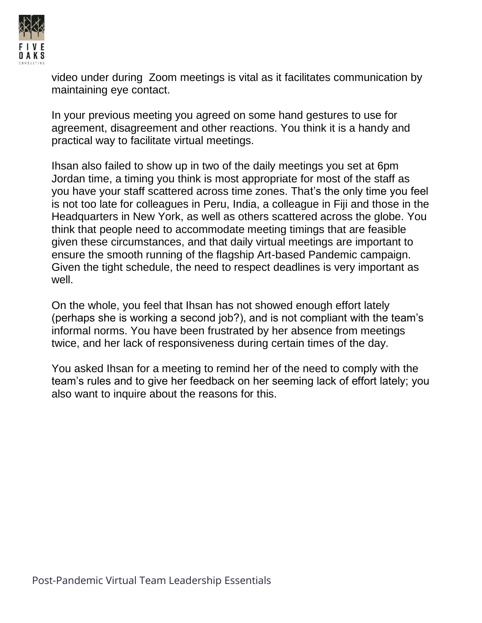

video under during Zoom meetings is vital as it facilitates communication by maintaining eye contact.

In your previous meeting you agreed on some hand gestures to use for agreement, disagreement and other reactions. You think it is a handy and practical way to facilitate virtual meetings.

Ihsan also failed to show up in two of the daily meetings you set at 6pm Jordan time, a timing you think is most appropriate for most of the staff as you have your staff scattered across time zones. That's the only time you feel is not too late for colleagues in Peru, India, a colleague in Fiji and those in the Headquarters in New York, as well as others scattered across the globe. You think that people need to accommodate meeting timings that are feasible given these circumstances, and that daily virtual meetings are important to ensure the smooth running of the flagship Art-based Pandemic campaign. Given the tight schedule, the need to respect deadlines is very important as well.

On the whole, you feel that Ihsan has not showed enough effort lately (perhaps she is working a second job?), and is not compliant with the team's informal norms. You have been frustrated by her absence from meetings twice, and her lack of responsiveness during certain times of the day.

You asked Ihsan for a meeting to remind her of the need to comply with the team's rules and to give her feedback on her seeming lack of effort lately; you also want to inquire about the reasons for this.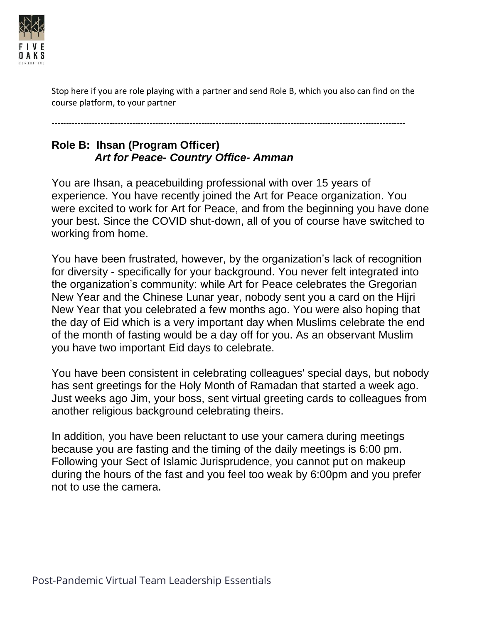

Stop here if you are role playing with a partner and send Role B, which you also can find on the course platform, to your partner

---------------------------------------------------------------------------------------------------------------------------

#### **Role B: Ihsan (Program Officer)** *Art for Peace- Country Office- Amman*

You are Ihsan, a peacebuilding professional with over 15 years of experience. You have recently joined the Art for Peace organization. You were excited to work for Art for Peace, and from the beginning you have done your best. Since the COVID shut-down, all of you of course have switched to working from home.

You have been frustrated, however, by the organization's lack of recognition for diversity - specifically for your background. You never felt integrated into the organization's community: while Art for Peace celebrates the Gregorian New Year and the Chinese Lunar year, nobody sent you a card on the Hijri New Year that you celebrated a few months ago. You were also hoping that the day of Eid which is a very important day when Muslims celebrate the end of the month of fasting would be a day off for you. As an observant Muslim you have two important Eid days to celebrate.

You have been consistent in celebrating colleagues' special days, but nobody has sent greetings for the Holy Month of Ramadan that started a week ago. Just weeks ago Jim, your boss, sent virtual greeting cards to colleagues from another religious background celebrating theirs.

In addition, you have been reluctant to use your camera during meetings because you are fasting and the timing of the daily meetings is 6:00 pm. Following your Sect of Islamic Jurisprudence, you cannot put on makeup during the hours of the fast and you feel too weak by 6:00pm and you prefer not to use the camera.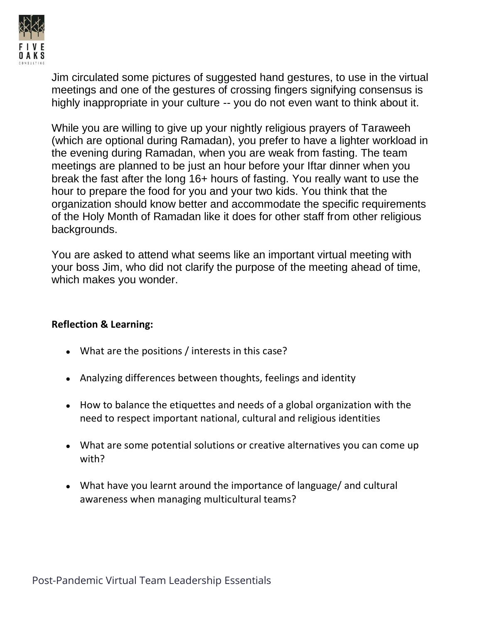

Jim circulated some pictures of suggested hand gestures, to use in the virtual meetings and one of the gestures of crossing fingers signifying consensus is highly inappropriate in your culture -- you do not even want to think about it.

While you are willing to give up your nightly religious prayers of Taraweeh (which are optional during Ramadan), you prefer to have a lighter workload in the evening during Ramadan, when you are weak from fasting. The team meetings are planned to be just an hour before your Iftar dinner when you break the fast after the long 16+ hours of fasting. You really want to use the hour to prepare the food for you and your two kids. You think that the organization should know better and accommodate the specific requirements of the Holy Month of Ramadan like it does for other staff from other religious backgrounds.

You are asked to attend what seems like an important virtual meeting with your boss Jim, who did not clarify the purpose of the meeting ahead of time, which makes you wonder.

#### **Reflection & Learning:**

- What are the positions / interests in this case?
- Analyzing differences between thoughts, feelings and identity
- How to balance the etiquettes and needs of a global organization with the need to respect important national, cultural and religious identities
- What are some potential solutions or creative alternatives you can come up with?
- What have you learnt around the importance of language/ and cultural awareness when managing multicultural teams?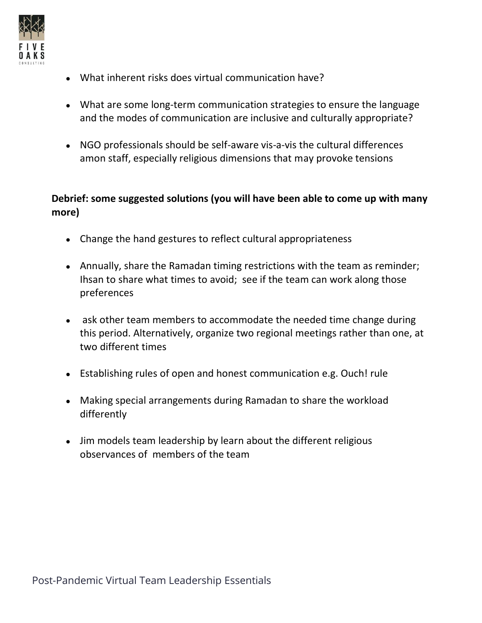

- What inherent risks does virtual communication have?
- What are some long-term communication strategies to ensure the language and the modes of communication are inclusive and culturally appropriate?
- NGO professionals should be self-aware vis-a-vis the cultural differences amon staff, especially religious dimensions that may provoke tensions

#### **Debrief: some suggested solutions (you will have been able to come up with many more)**

- Change the hand gestures to reflect cultural appropriateness
- Annually, share the Ramadan timing restrictions with the team as reminder; Ihsan to share what times to avoid; see if the team can work along those preferences
- ask other team members to accommodate the needed time change during this period. Alternatively, organize two regional meetings rather than one, at two different times
- Establishing rules of open and honest communication e.g. Ouch! rule
- Making special arrangements during Ramadan to share the workload differently
- Jim models team leadership by learn about the different religious observances of members of the team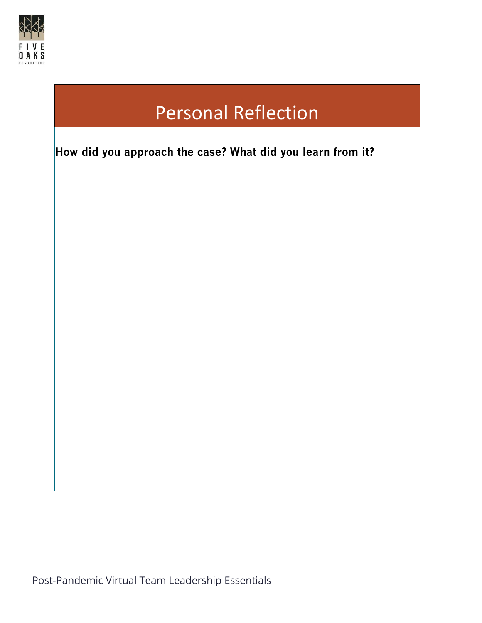

## Personal Reflection

**How did you approach the case? What did you learn from it?**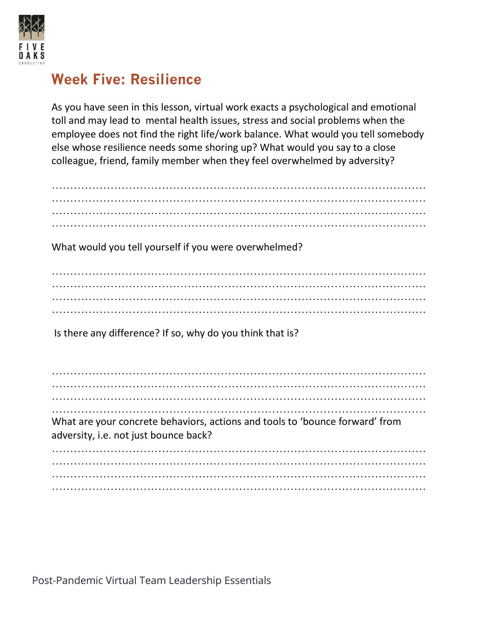

### **Week Five: Resilience**

As you have seen in this lesson, virtual work exacts a psychological and emotional toll and may lead to mental health issues, stress and social problems when the employee does not find the right life/work balance. What would you tell somebody else whose resilience needs some shoring up? What would you say to a close colleague, friend, family member when they feel overwhelmed by adversity?

………………………………………………………………………………………… ………………………………………………………………………………………… ………………………………………………………………………………………… …………………………………………………………………………………………

What would you tell yourself if you were overwhelmed?

………………………………………………………………………………………… ………………………………………………………………………………………… …………………………………………………………………………………………

Is there any difference? If so, why do you think that is?

………………………………………………………………………………………… ………………………………………………………………………………………… ………………………………………………………………………………………… ………………………………………………………………………………………… What are your concrete behaviors, actions and tools to 'bounce forward' from adversity, i.e. not just bounce back? ………………………………………………………………………………………… ………………………………………………………………………………………… ………………………………………………………………………………………… …………………………………………………………………………………………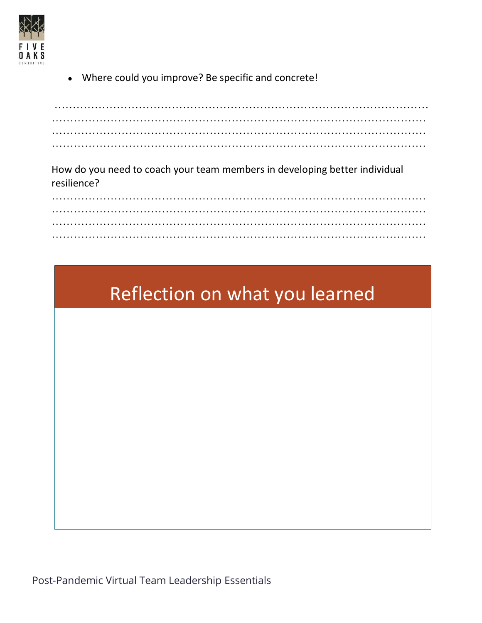

● Where could you improve? Be specific and concrete!

………………………………………………………………………………………… ………………………………………………………………………………………… ………………………………………………………………………………………… …………………………………………………………………………………………

How do you need to coach your team members in developing better individual resilience?

## Reflection on what you learned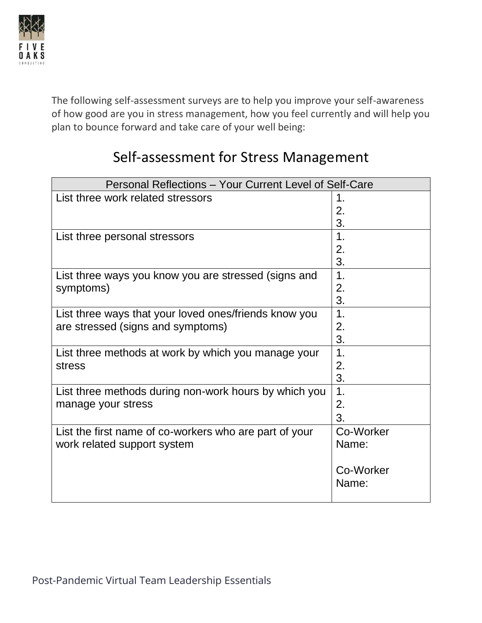

The following self-assessment surveys are to help you improve your self-awareness of how good are you in stress management, how you feel currently and will help you plan to bounce forward and take care of your well being:

### Self-assessment for Stress Management

| Personal Reflections - Your Current Level of Self-Care |               |
|--------------------------------------------------------|---------------|
| List three work related stressors                      | 1.            |
|                                                        | 2.            |
|                                                        | 3.            |
| List three personal stressors                          | $\mathbf 1$ . |
|                                                        | 2.            |
|                                                        | 3.            |
| List three ways you know you are stressed (signs and   | $\mathbf 1$ . |
| symptoms)                                              | 2.            |
|                                                        | 3.            |
| List three ways that your loved ones/friends know you  | 1.            |
| are stressed (signs and symptoms)                      | 2.            |
|                                                        | 3.            |
| List three methods at work by which you manage your    | 1.            |
| <b>stress</b>                                          | 2.            |
|                                                        | 3.            |
| List three methods during non-work hours by which you  | 1.            |
| manage your stress                                     | 2.            |
|                                                        | 3.            |
| List the first name of co-workers who are part of your | Co-Worker     |
| work related support system                            | Name:         |
|                                                        |               |
|                                                        | Co-Worker     |
|                                                        | Name:         |
|                                                        |               |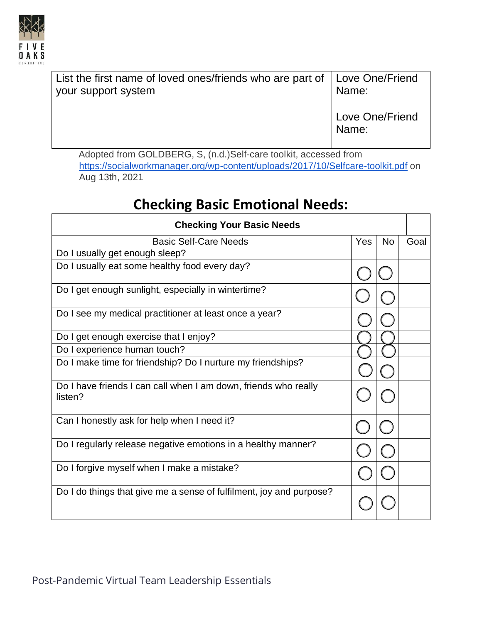

| List the first name of loved ones/friends who are part of   Love One/Friend<br>your support system | Name:                    |
|----------------------------------------------------------------------------------------------------|--------------------------|
|                                                                                                    | Love One/Friend<br>Name: |

Adopted from GOLDBERG, S, (n.d.)Self-care toolkit, accessed from <https://socialworkmanager.org/wp-content/uploads/2017/10/Selfcare-toolkit.pdf> on Aug 13th, 2021

### **Checking Basic Emotional Needs:**

| <b>Checking Your Basic Needs</b>                                           |     |    |      |
|----------------------------------------------------------------------------|-----|----|------|
| <b>Basic Self-Care Needs</b>                                               | Yes | No | Goal |
| Do I usually get enough sleep?                                             |     |    |      |
| Do I usually eat some healthy food every day?                              |     |    |      |
| Do I get enough sunlight, especially in wintertime?                        |     |    |      |
| Do I see my medical practitioner at least once a year?                     |     |    |      |
| Do I get enough exercise that I enjoy?                                     |     |    |      |
| Do I experience human touch?                                               |     |    |      |
| Do I make time for friendship? Do I nurture my friendships?                |     |    |      |
| Do I have friends I can call when I am down, friends who really<br>listen? |     |    |      |
| Can I honestly ask for help when I need it?                                |     |    |      |
| Do I regularly release negative emotions in a healthy manner?              |     |    |      |
| Do I forgive myself when I make a mistake?                                 |     |    |      |
| Do I do things that give me a sense of fulfilment, joy and purpose?        |     |    |      |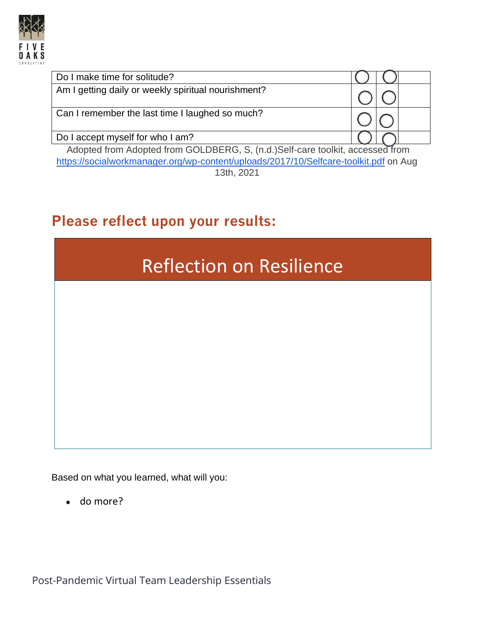

| Do I make time for solitude?                        |  |
|-----------------------------------------------------|--|
| Am I getting daily or weekly spiritual nourishment? |  |
| Can I remember the last time I laughed so much?     |  |
| Do I accept myself for who I am?                    |  |

Adopted from Adopted from GOLDBERG, S, (n.d.)Self-care toolkit, accessed from <https://socialworkmanager.org/wp-content/uploads/2017/10/Selfcare-toolkit.pdf> on Aug 13th, 2021

### **Please reflect upon your results:**

## Reflection on Resilience

Based on what you learned, what will you:

• do more?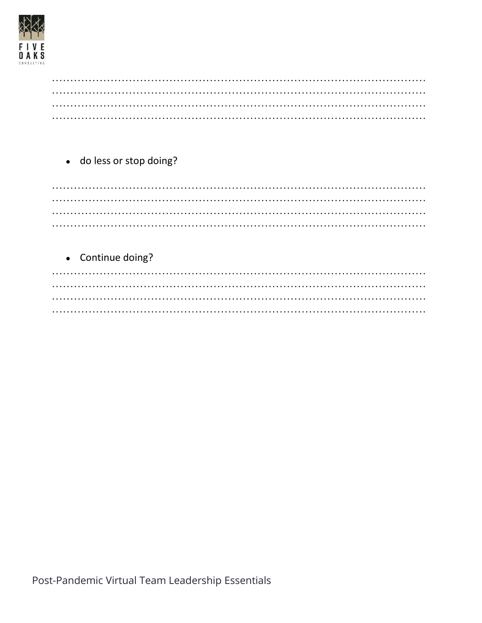

• do less or stop doing?

 $\dddot{\phantom{0}}$  $\ddotsc$  $\ddot{\phantom{a}}$  $\ddot{\phantom{0}}$ 

• Continue doing?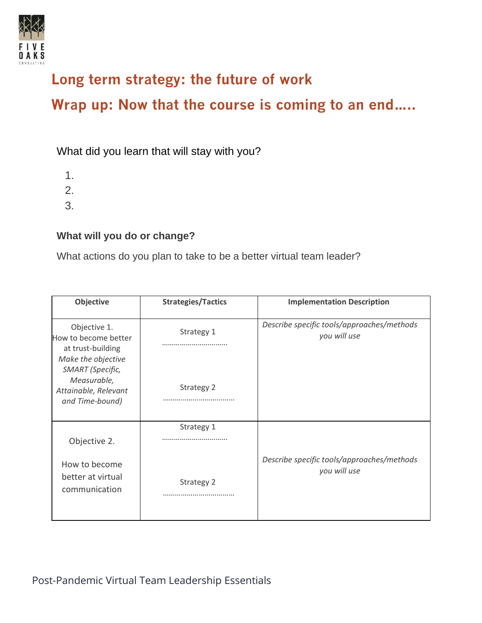

## **Long term strategy: the future of work Wrap up: Now that the course is coming to an end…..**

#### What did you learn that will stay with you?

1.

2.

3.

#### **What will you do or change?**

What actions do you plan to take to be a better virtual team leader?

| Objective                                                                                                          | <b>Strategies/Tactics</b> | <b>Implementation Description</b>                          |
|--------------------------------------------------------------------------------------------------------------------|---------------------------|------------------------------------------------------------|
| Objective 1.<br>How to become better<br>at trust-building<br>Make the objective<br>SMART (Specific,<br>Measurable, | Strategy 1                | Describe specific tools/approaches/methods<br>you will use |
| Attainable, Relevant<br>and Time-bound)                                                                            | Strategy 2<br>            |                                                            |
|                                                                                                                    |                           |                                                            |
|                                                                                                                    | Strategy 1                |                                                            |
| Objective 2.                                                                                                       |                           |                                                            |
| How to become<br>better at virtual<br>communication                                                                | Strategy 2                | Describe specific tools/approaches/methods<br>you will use |